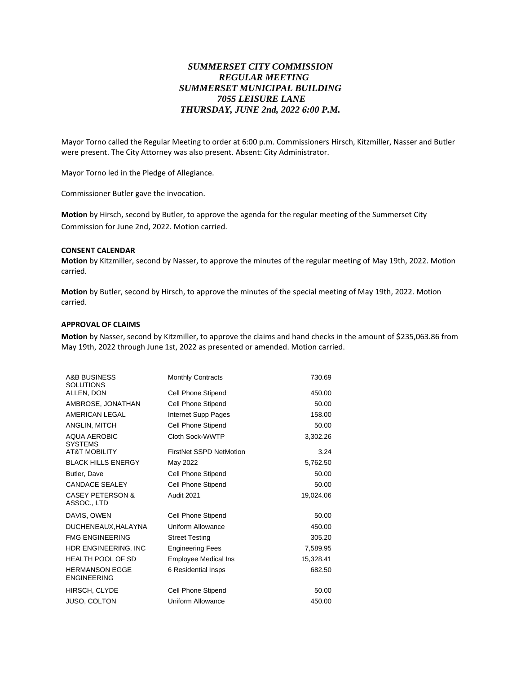# *SUMMERSET CITY COMMISSION REGULAR MEETING SUMMERSET MUNICIPAL BUILDING 7055 LEISURE LANE THURSDAY, JUNE 2nd, 2022 6:00 P.M.*

Mayor Torno called the Regular Meeting to order at 6:00 p.m. Commissioners Hirsch, Kitzmiller, Nasser and Butler were present. The City Attorney was also present. Absent: City Administrator.

Mayor Torno led in the Pledge of Allegiance.

Commissioner Butler gave the invocation.

**Motion** by Hirsch, second by Butler, to approve the agenda for the regular meeting of the Summerset City Commission for June 2nd, 2022. Motion carried.

#### **CONSENT CALENDAR**

**Motion** by Kitzmiller, second by Nasser, to approve the minutes of the regular meeting of May 19th, 2022. Motion carried.

**Motion** by Butler, second by Hirsch, to approve the minutes of the special meeting of May 19th, 2022. Motion carried.

### **APPROVAL OF CLAIMS**

**Motion** by Nasser, second by Kitzmiller, to approve the claims and hand checks in the amount of \$235,063.86 from May 19th, 2022 through June 1st, 2022 as presented or amended. Motion carried.

| A&B BUSINESS<br><b>SOLUTIONS</b>            | <b>Monthly Contracts</b>    | 730.69    |
|---------------------------------------------|-----------------------------|-----------|
| ALLEN, DON                                  | Cell Phone Stipend          | 450.00    |
| AMBROSE, JONATHAN                           | Cell Phone Stipend          | 50.00     |
| AMERICAN LEGAL                              | Internet Supp Pages         | 158.00    |
| ANGLIN, MITCH                               | Cell Phone Stipend          | 50.00     |
| <b>AQUA AEROBIC</b><br><b>SYSTEMS</b>       | Cloth Sock-WWTP             | 3,302.26  |
| <b>AT&amp;T MOBILITY</b>                    | FirstNet SSPD NetMotion     | 3.24      |
| <b>BLACK HILLS ENERGY</b>                   | May 2022                    | 5,762.50  |
| Butler, Dave                                | Cell Phone Stipend          | 50.00     |
| <b>CANDACE SEALEY</b>                       | Cell Phone Stipend          | 50.00     |
| <b>CASEY PETERSON &amp;</b><br>ASSOC., LTD  | <b>Audit 2021</b>           | 19,024.06 |
| DAVIS, OWEN                                 | Cell Phone Stipend          | 50.00     |
| DUCHENEAUX, HALAYNA                         | Uniform Allowance           | 450.00    |
| <b>FMG ENGINEERING</b>                      | <b>Street Testing</b>       | 305.20    |
| HDR ENGINEERING, INC                        | <b>Engineering Fees</b>     | 7,589.95  |
| <b>HEALTH POOL OF SD</b>                    | <b>Employee Medical Ins</b> | 15,328.41 |
| <b>HERMANSON EGGE</b><br><b>ENGINEERING</b> | 6 Residential Insps         | 682.50    |
| HIRSCH, CLYDE                               | Cell Phone Stipend          | 50.00     |
| <b>JUSO, COLTON</b>                         | Uniform Allowance           | 450.00    |
|                                             |                             |           |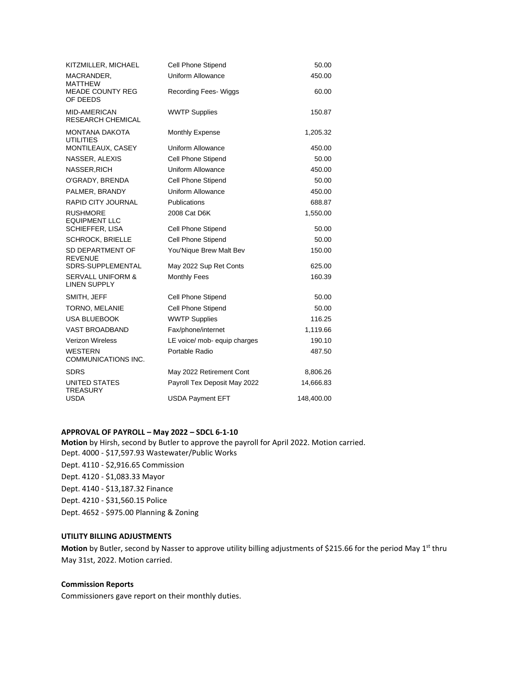| KITZMILLER, MICHAEL                                 | Cell Phone Stipend           | 50.00      |
|-----------------------------------------------------|------------------------------|------------|
| MACRANDER,<br>MATTHEW                               | <b>Uniform Allowance</b>     | 450.00     |
| <b>MEADE COUNTY REG</b><br>OF DEEDS                 | Recording Fees-Wiggs         | 60.00      |
| <b>MID-AMERICAN</b><br><b>RESEARCH CHEMICAL</b>     | <b>WWTP Supplies</b>         | 150.87     |
| <b>MONTANA DAKOTA</b><br><b>UTILITIES</b>           | <b>Monthly Expense</b>       | 1,205.32   |
| MONTILEAUX, CASEY                                   | Uniform Allowance            | 450.00     |
| NASSER, ALEXIS                                      | Cell Phone Stipend           | 50.00      |
| NASSER, RICH                                        | Uniform Allowance            | 450.00     |
| O'GRADY, BRENDA                                     | <b>Cell Phone Stipend</b>    | 50.00      |
| PALMER, BRANDY                                      | <b>Uniform Allowance</b>     | 450.00     |
| <b>RAPID CITY JOURNAL</b>                           | <b>Publications</b>          | 688.87     |
| <b>RUSHMORE</b><br><b>EQUIPMENT LLC</b>             | 2008 Cat D6K                 | 1,550.00   |
| SCHIEFFER, LISA                                     | Cell Phone Stipend           | 50.00      |
| <b>SCHROCK, BRIELLE</b>                             | Cell Phone Stipend           | 50.00      |
| SD DEPARTMENT OF<br><b>REVENUE</b>                  | You'Nique Brew Malt Bev      | 150.00     |
| <b>SDRS-SUPPLEMENTAL</b>                            | May 2022 Sup Ret Conts       | 625.00     |
| <b>SERVALL UNIFORM &amp;</b><br><b>LINEN SUPPLY</b> | <b>Monthly Fees</b>          | 160.39     |
| SMITH, JEFF                                         | Cell Phone Stipend           | 50.00      |
| TORNO, MELANIE                                      | <b>Cell Phone Stipend</b>    | 50.00      |
| <b>USA BLUEBOOK</b>                                 | <b>WWTP Supplies</b>         | 116.25     |
| <b>VAST BROADBAND</b>                               | Fax/phone/internet           | 1,119.66   |
| <b>Verizon Wireless</b>                             | LE voice/ mob- equip charges | 190.10     |
| <b>WESTERN</b><br>COMMUNICATIONS INC.               | Portable Radio               | 487.50     |
| <b>SDRS</b>                                         | May 2022 Retirement Cont     | 8,806.26   |
| UNITED STATES<br><b>TREASURY</b>                    | Payroll Tex Deposit May 2022 | 14,666.83  |
| USDA                                                | <b>USDA Payment EFT</b>      | 148,400.00 |

# **APPROVAL OF PAYROLL – May 2022 – SDCL 6-1-10**

**Motion** by Hirsh, second by Butler to approve the payroll for April 2022. Motion carried. Dept. 4000 - \$17,597.93 Wastewater/Public Works Dept. 4110 - \$2,916.65 Commission Dept. 4120 - \$1,083.33 Mayor Dept. 4140 - \$13,187.32 Finance Dept. 4210 - \$31,560.15 Police Dept. 4652 - \$975.00 Planning & Zoning

#### **UTILITY BILLING ADJUSTMENTS**

Motion by Butler, second by Nasser to approve utility billing adjustments of \$215.66 for the period May 1<sup>st</sup> thru May 31st, 2022. Motion carried.

## **Commission Reports**

Commissioners gave report on their monthly duties.